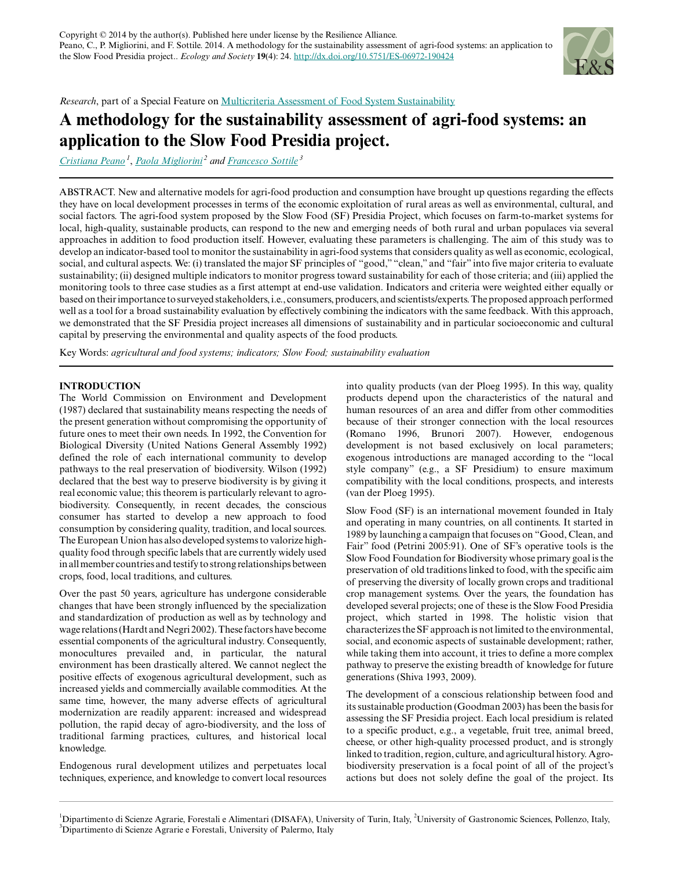

*Research*, part of a Special Feature on [Multicriteria Assessment of Food System Sustainability](http://www.ecologyandsociety.org/viewissue.php?sf=93)

# **A methodology for the sustainability assessment of agri-food systems: an application to the Slow Food Presidia project.**

*[Cristiana Peano](mailto:cristiana.peano@unito.it)<sup>1</sup>* , *[Paola Migliorini](mailto:p.migliorini@unisg.it)<sup>2</sup> and [Francesco Sottile](mailto:francesco.sottile@unipa.it)<sup>3</sup>*

ABSTRACT. New and alternative models for agri-food production and consumption have brought up questions regarding the effects they have on local development processes in terms of the economic exploitation of rural areas as well as environmental, cultural, and social factors. The agri-food system proposed by the Slow Food (SF) Presidia Project, which focuses on farm-to-market systems for local, high-quality, sustainable products, can respond to the new and emerging needs of both rural and urban populaces via several approaches in addition to food production itself. However, evaluating these parameters is challenging. The aim of this study was to develop an indicator-based tool to monitor the sustainability in agri-food systems that considers quality as well as economic, ecological, social, and cultural aspects. We: (i) translated the major SF principles of "good," "clean," and "fair" into five major criteria to evaluate sustainability; (ii) designed multiple indicators to monitor progress toward sustainability for each of those criteria; and (iii) applied the monitoring tools to three case studies as a first attempt at end-use validation. Indicators and criteria were weighted either equally or based on their importance to surveyed stakeholders, i.e., consumers, producers, and scientists/experts. The proposed approach performed well as a tool for a broad sustainability evaluation by effectively combining the indicators with the same feedback. With this approach, we demonstrated that the SF Presidia project increases all dimensions of sustainability and in particular socioeconomic and cultural capital by preserving the environmental and quality aspects of the food products.

Key Words: *agricultural and food systems; indicators; Slow Food; sustainability evaluation*

# **INTRODUCTION**

The World Commission on Environment and Development (1987) declared that sustainability means respecting the needs of the present generation without compromising the opportunity of future ones to meet their own needs. In 1992, the Convention for Biological Diversity (United Nations General Assembly 1992) defined the role of each international community to develop pathways to the real preservation of biodiversity. Wilson (1992) declared that the best way to preserve biodiversity is by giving it real economic value; this theorem is particularly relevant to agrobiodiversity. Consequently, in recent decades, the conscious consumer has started to develop a new approach to food consumption by considering quality, tradition, and local sources. The European Union has also developed systems to valorize highquality food through specific labels that are currently widely used in all member countries and testify to strong relationships between crops, food, local traditions, and cultures.

Over the past 50 years, agriculture has undergone considerable changes that have been strongly influenced by the specialization and standardization of production as well as by technology and wage relations (Hardt and Negri 2002). These factors have become essential components of the agricultural industry. Consequently, monocultures prevailed and, in particular, the natural environment has been drastically altered. We cannot neglect the positive effects of exogenous agricultural development, such as increased yields and commercially available commodities. At the same time, however, the many adverse effects of agricultural modernization are readily apparent: increased and widespread pollution, the rapid decay of agro-biodiversity, and the loss of traditional farming practices, cultures, and historical local knowledge.

Endogenous rural development utilizes and perpetuates local techniques, experience, and knowledge to convert local resources into quality products (van der Ploeg 1995). In this way, quality products depend upon the characteristics of the natural and human resources of an area and differ from other commodities because of their stronger connection with the local resources (Romano 1996, Brunori 2007). However, endogenous development is not based exclusively on local parameters; exogenous introductions are managed according to the "local style company" (e.g., a SF Presidium) to ensure maximum compatibility with the local conditions, prospects, and interests (van der Ploeg 1995).

Slow Food (SF) is an international movement founded in Italy and operating in many countries, on all continents. It started in 1989 by launching a campaign that focuses on "Good, Clean, and Fair" food (Petrini 2005:91). One of SF's operative tools is the Slow Food Foundation for Biodiversity whose primary goal is the preservation of old traditions linked to food, with the specific aim of preserving the diversity of locally grown crops and traditional crop management systems. Over the years, the foundation has developed several projects; one of these is the Slow Food Presidia project, which started in 1998. The holistic vision that characterizes the SF approach is not limited to the environmental, social, and economic aspects of sustainable development; rather, while taking them into account, it tries to define a more complex pathway to preserve the existing breadth of knowledge for future generations (Shiva 1993, 2009).

The development of a conscious relationship between food and its sustainable production (Goodman 2003) has been the basis for assessing the SF Presidia project. Each local presidium is related to a specific product, e.g., a vegetable, fruit tree, animal breed, cheese, or other high-quality processed product, and is strongly linked to tradition, region, culture, and agricultural history. Agrobiodiversity preservation is a focal point of all of the project's actions but does not solely define the goal of the project. Its

<sup>1</sup>Dipartimento di Scienze Agrarie, Forestali e Alimentari (DISAFA), University of Turin, Italy, <sup>2</sup>University of Gastronomic Sciences, Pollenzo, Italy, <sup>3</sup>Dipartimento di Scienze Agrarie e Forestali, University of Palermo, Italy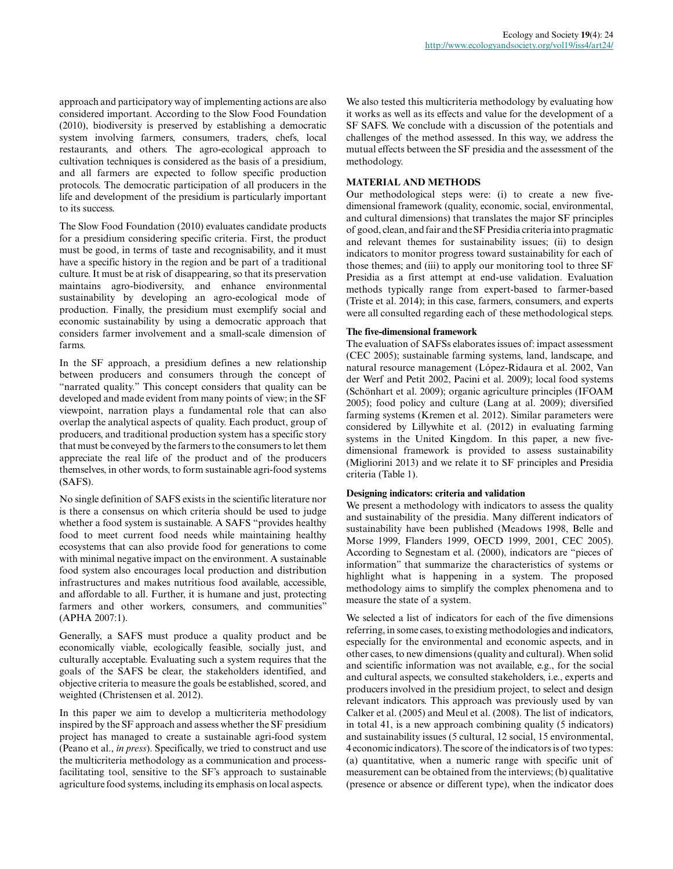approach and participatory way of implementing actions are also considered important. According to the Slow Food Foundation (2010), biodiversity is preserved by establishing a democratic system involving farmers, consumers, traders, chefs, local restaurants, and others. The agro-ecological approach to cultivation techniques is considered as the basis of a presidium, and all farmers are expected to follow specific production protocols. The democratic participation of all producers in the life and development of the presidium is particularly important to its success.

The Slow Food Foundation (2010) evaluates candidate products for a presidium considering specific criteria. First, the product must be good, in terms of taste and recognisability, and it must have a specific history in the region and be part of a traditional culture. It must be at risk of disappearing, so that its preservation maintains agro-biodiversity, and enhance environmental sustainability by developing an agro-ecological mode of production. Finally, the presidium must exemplify social and economic sustainability by using a democratic approach that considers farmer involvement and a small-scale dimension of farms.

In the SF approach, a presidium defines a new relationship between producers and consumers through the concept of "narrated quality." This concept considers that quality can be developed and made evident from many points of view; in the SF viewpoint, narration plays a fundamental role that can also overlap the analytical aspects of quality. Each product, group of producers, and traditional production system has a specific story that must be conveyed by the farmers to the consumers to let them appreciate the real life of the product and of the producers themselves, in other words, to form sustainable agri-food systems (SAFS).

No single definition of SAFS exists in the scientific literature nor is there a consensus on which criteria should be used to judge whether a food system is sustainable. A SAFS "provides healthy food to meet current food needs while maintaining healthy ecosystems that can also provide food for generations to come with minimal negative impact on the environment. A sustainable food system also encourages local production and distribution infrastructures and makes nutritious food available, accessible, and affordable to all. Further, it is humane and just, protecting farmers and other workers, consumers, and communities" (APHA 2007:1).

Generally, a SAFS must produce a quality product and be economically viable, ecologically feasible, socially just, and culturally acceptable. Evaluating such a system requires that the goals of the SAFS be clear, the stakeholders identified, and objective criteria to measure the goals be established, scored, and weighted (Christensen et al. 2012).

In this paper we aim to develop a multicriteria methodology inspired by the SF approach and assess whether the SF presidium project has managed to create a sustainable agri-food system (Peano et al., *in press*). Specifically, we tried to construct and use the multicriteria methodology as a communication and processfacilitating tool, sensitive to the SF's approach to sustainable agriculture food systems, including its emphasis on local aspects.

We also tested this multicriteria methodology by evaluating how it works as well as its effects and value for the development of a SF SAFS. We conclude with a discussion of the potentials and challenges of the method assessed. In this way, we address the mutual effects between the SF presidia and the assessment of the methodology.

# **MATERIAL AND METHODS**

Our methodological steps were: (i) to create a new fivedimensional framework (quality, economic, social, environmental, and cultural dimensions) that translates the major SF principles of good, clean, and fair and the SF Presidia criteria into pragmatic and relevant themes for sustainability issues; (ii) to design indicators to monitor progress toward sustainability for each of those themes; and (iii) to apply our monitoring tool to three SF Presidia as a first attempt at end-use validation. Evaluation methods typically range from expert-based to farmer-based (Triste et al. 2014); in this case, farmers, consumers, and experts were all consulted regarding each of these methodological steps.

## **The five-dimensional framework**

The evaluation of SAFSs elaborates issues of: impact assessment (CEC 2005); sustainable farming systems, land, landscape, and natural resource management (López-Ridaura et al. 2002, Van der Werf and Petit 2002, Pacini et al. 2009); local food systems (Schönhart et al. 2009); organic agriculture principles (IFOAM 2005); food policy and culture (Lang at al. 2009); diversified farming systems (Kremen et al. 2012). Similar parameters were considered by Lillywhite et al. (2012) in evaluating farming systems in the United Kingdom. In this paper, a new fivedimensional framework is provided to assess sustainability (Migliorini 2013) and we relate it to SF principles and Presidia criteria (Table 1).

## **Designing indicators: criteria and validation**

We present a methodology with indicators to assess the quality and sustainability of the presidia. Many different indicators of sustainability have been published (Meadows 1998, Belle and Morse 1999, Flanders 1999, OECD 1999, 2001, CEC 2005). According to Segnestam et al. (2000), indicators are "pieces of information" that summarize the characteristics of systems or highlight what is happening in a system. The proposed methodology aims to simplify the complex phenomena and to measure the state of a system.

We selected a list of indicators for each of the five dimensions referring, in some cases, to existing methodologies and indicators, especially for the environmental and economic aspects, and in other cases, to new dimensions (quality and cultural). When solid and scientific information was not available, e.g., for the social and cultural aspects, we consulted stakeholders, i.e., experts and producers involved in the presidium project, to select and design relevant indicators. This approach was previously used by van Calker et al. (2005) and Meul et al. (2008). The list of indicators, in total 41, is a new approach combining quality (5 indicators) and sustainability issues (5 cultural, 12 social, 15 environmental, 4 economic indicators). The score of the indicators is of two types: (a) quantitative, when a numeric range with specific unit of measurement can be obtained from the interviews; (b) qualitative (presence or absence or different type), when the indicator does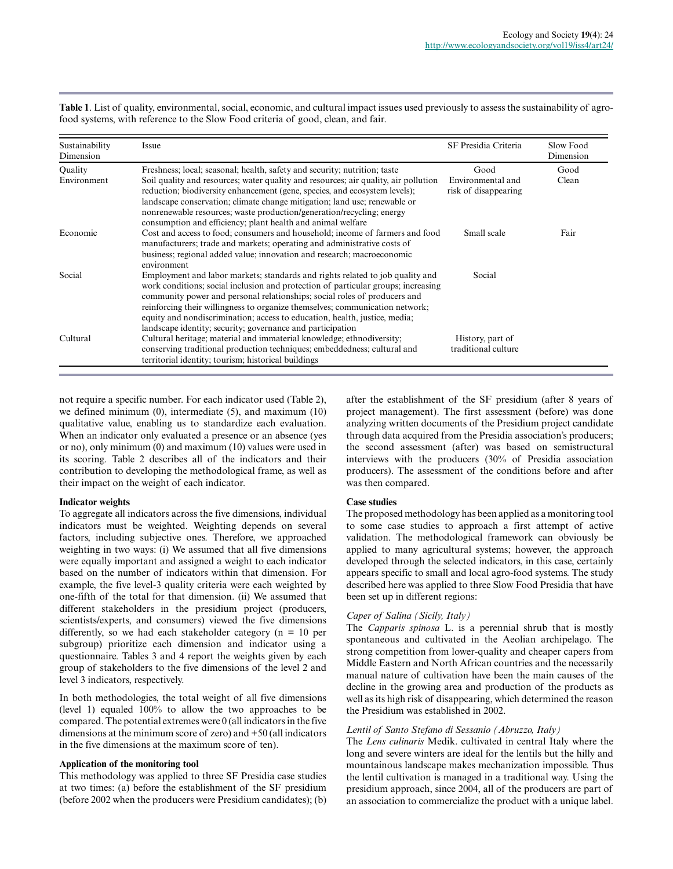| Sustainability<br>Dimension | Issue                                                                                                                                                                                                                                                                                                                                                                                                                                                                       | SF Presidia Criteria                      | Slow Food<br>Dimension |
|-----------------------------|-----------------------------------------------------------------------------------------------------------------------------------------------------------------------------------------------------------------------------------------------------------------------------------------------------------------------------------------------------------------------------------------------------------------------------------------------------------------------------|-------------------------------------------|------------------------|
| Ouality                     | Freshness; local; seasonal; health, safety and security; nutrition; taste                                                                                                                                                                                                                                                                                                                                                                                                   | Good                                      | Good                   |
| Environment                 | Soil quality and resources; water quality and resources; air quality, air pollution<br>reduction; biodiversity enhancement (gene, species, and ecosystem levels);<br>landscape conservation; climate change mitigation; land use; renewable or<br>nonrenewable resources; waste production/generation/recycling; energy<br>consumption and efficiency; plant health and animal welfare                                                                                      | Environmental and<br>risk of disappearing | Clean                  |
| Economic                    | Cost and access to food; consumers and household; income of farmers and food<br>manufacturers; trade and markets; operating and administrative costs of<br>business; regional added value; innovation and research; macroeconomic<br>environment                                                                                                                                                                                                                            | Small scale                               | Fair                   |
| Social                      | Employment and labor markets; standards and rights related to job quality and<br>work conditions; social inclusion and protection of particular groups; increasing<br>community power and personal relationships; social roles of producers and<br>reinforcing their willingness to organize themselves; communication network;<br>equity and nondiscrimination; access to education, health, justice, media;<br>landscape identity; security; governance and participation | Social                                    |                        |
| Cultural                    | Cultural heritage; material and immaterial knowledge; ethnodiversity;<br>conserving traditional production techniques; embeddedness; cultural and<br>territorial identity; tourism; historical buildings                                                                                                                                                                                                                                                                    | History, part of<br>traditional culture   |                        |

**Table 1**. List of quality, environmental, social, economic, and cultural impact issues used previously to assess the sustainability of agrofood systems, with reference to the Slow Food criteria of good, clean, and fair.

not require a specific number. For each indicator used (Table 2), we defined minimum (0), intermediate (5), and maximum (10) qualitative value, enabling us to standardize each evaluation. When an indicator only evaluated a presence or an absence (yes or no), only minimum (0) and maximum (10) values were used in its scoring. Table 2 describes all of the indicators and their contribution to developing the methodological frame, as well as their impact on the weight of each indicator.

## **Indicator weights**

To aggregate all indicators across the five dimensions, individual indicators must be weighted. Weighting depends on several factors, including subjective ones. Therefore, we approached weighting in two ways: (i) We assumed that all five dimensions were equally important and assigned a weight to each indicator based on the number of indicators within that dimension. For example, the five level-3 quality criteria were each weighted by one-fifth of the total for that dimension. (ii) We assumed that different stakeholders in the presidium project (producers, scientists/experts, and consumers) viewed the five dimensions differently, so we had each stakeholder category ( $n = 10$  per subgroup) prioritize each dimension and indicator using a questionnaire. Tables 3 and 4 report the weights given by each group of stakeholders to the five dimensions of the level 2 and level 3 indicators, respectively.

In both methodologies, the total weight of all five dimensions (level 1) equaled 100% to allow the two approaches to be compared. The potential extremes were 0 (all indicators in the five dimensions at the minimum score of zero) and +50 (all indicators in the five dimensions at the maximum score of ten).

## **Application of the monitoring tool**

This methodology was applied to three SF Presidia case studies at two times: (a) before the establishment of the SF presidium (before 2002 when the producers were Presidium candidates); (b) after the establishment of the SF presidium (after 8 years of project management). The first assessment (before) was done analyzing written documents of the Presidium project candidate through data acquired from the Presidia association's producers; the second assessment (after) was based on semistructural interviews with the producers (30% of Presidia association producers). The assessment of the conditions before and after was then compared.

# **Case studies**

The proposed methodology has been applied as a monitoring tool to some case studies to approach a first attempt of active validation. The methodological framework can obviously be applied to many agricultural systems; however, the approach developed through the selected indicators, in this case, certainly appears specific to small and local agro-food systems. The study described here was applied to three Slow Food Presidia that have been set up in different regions:

# *Caper of Salina (Sicily, Italy)*

The *Capparis spinosa* L. is a perennial shrub that is mostly spontaneous and cultivated in the Aeolian archipelago. The strong competition from lower-quality and cheaper capers from Middle Eastern and North African countries and the necessarily manual nature of cultivation have been the main causes of the decline in the growing area and production of the products as well as its high risk of disappearing, which determined the reason the Presidium was established in 2002.

# *Lentil of Santo Stefano di Sessanio (Abruzzo, Italy)*

The *Lens culinaris* Medik. cultivated in central Italy where the long and severe winters are ideal for the lentils but the hilly and mountainous landscape makes mechanization impossible. Thus the lentil cultivation is managed in a traditional way. Using the presidium approach, since 2004, all of the producers are part of an association to commercialize the product with a unique label.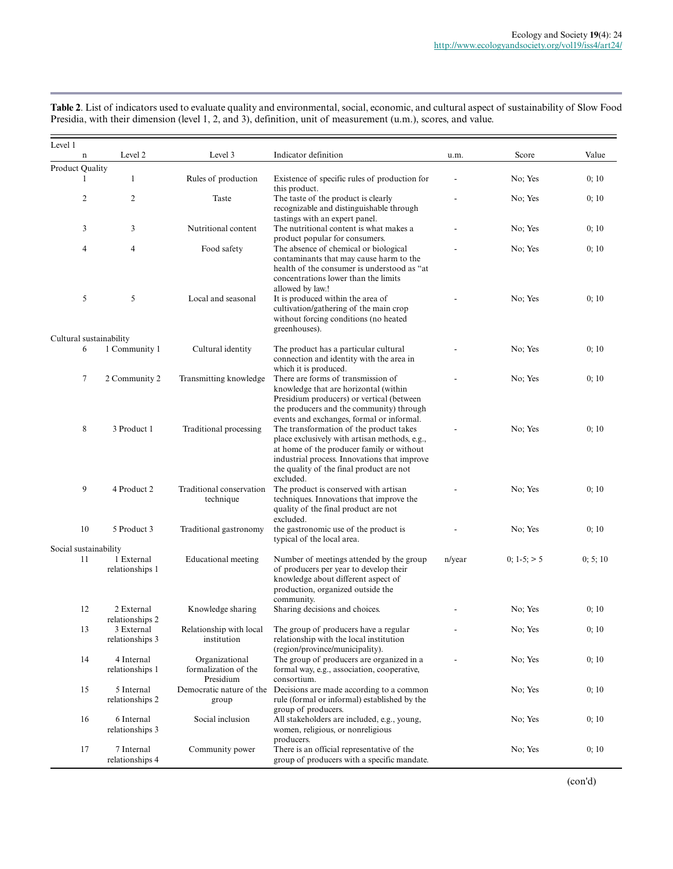| Table 2. List of indicators used to evaluate quality and environmental, social, economic, and cultural aspect of sustainability of Slow Food |  |
|----------------------------------------------------------------------------------------------------------------------------------------------|--|
| Presidia, with their dimension (level 1, 2, and 3), definition, unit of measurement $(u.m.)$ , scores, and value.                            |  |

| Level 1                 |                               |                                                     |                                                                                                                                                                                                                                                                                |        |                |          |
|-------------------------|-------------------------------|-----------------------------------------------------|--------------------------------------------------------------------------------------------------------------------------------------------------------------------------------------------------------------------------------------------------------------------------------|--------|----------------|----------|
| $\mathbf n$             | Level 2                       | Level 3                                             | Indicator definition                                                                                                                                                                                                                                                           | u.m.   | Score          | Value    |
| Product Quality         |                               |                                                     |                                                                                                                                                                                                                                                                                |        |                |          |
| 1                       | $\mathbf{1}$                  | Rules of production                                 | Existence of specific rules of production for<br>this product.                                                                                                                                                                                                                 |        | No: Yes        | 0;10     |
| $\overline{c}$          | $\overline{c}$                | Taste                                               | The taste of the product is clearly<br>recognizable and distinguishable through<br>tastings with an expert panel.                                                                                                                                                              |        | No: Yes        | 0; 10    |
| 3                       | 3                             | Nutritional content                                 | The nutritional content is what makes a<br>product popular for consumers.                                                                                                                                                                                                      |        | No; Yes        | 0;10     |
| 4                       | $\overline{\mathbf{4}}$       | Food safety                                         | The absence of chemical or biological<br>contaminants that may cause harm to the<br>health of the consumer is understood as "at<br>concentrations lower than the limits<br>allowed by law.!                                                                                    |        | No: Yes        | 0;10     |
| 5                       | 5                             | Local and seasonal                                  | It is produced within the area of<br>cultivation/gathering of the main crop<br>without forcing conditions (no heated<br>greenhouses).                                                                                                                                          |        | No: Yes        | 0;10     |
| Cultural sustainability |                               |                                                     |                                                                                                                                                                                                                                                                                |        |                |          |
| 6                       | 1 Community 1                 | Cultural identity                                   | The product has a particular cultural<br>connection and identity with the area in<br>which it is produced.                                                                                                                                                                     |        | No: Yes        | 0;10     |
| 7                       | 2 Community 2                 | Transmitting knowledge                              | There are forms of transmission of<br>knowledge that are horizontal (within<br>Presidium producers) or vertical (between<br>the producers and the community) through                                                                                                           |        | No; Yes        | 0;10     |
| 8                       | 3 Product 1                   | Traditional processing                              | events and exchanges, formal or informal.<br>The transformation of the product takes<br>place exclusively with artisan methods, e.g.,<br>at home of the producer family or without<br>industrial process. Innovations that improve<br>the quality of the final product are not |        | No: Yes        | 0:10     |
| 9                       | 4 Product 2                   | Traditional conservation<br>technique               | excluded.<br>The product is conserved with artisan<br>techniques. Innovations that improve the<br>quality of the final product are not<br>excluded.                                                                                                                            |        | No; Yes        | 0;10     |
| 10                      | 5 Product 3                   | Traditional gastronomy                              | the gastronomic use of the product is<br>typical of the local area.                                                                                                                                                                                                            |        | No; Yes        | 0;10     |
| Social sustainability   |                               |                                                     |                                                                                                                                                                                                                                                                                |        |                |          |
| 11                      | 1 External<br>relationships 1 | Educational meeting                                 | Number of meetings attended by the group<br>of producers per year to develop their<br>knowledge about different aspect of<br>production, organized outside the<br>community.                                                                                                   | n/year | $0$ ; 1-5; > 5 | 0; 5; 10 |
| 12                      | 2 External<br>relationships 2 | Knowledge sharing                                   | Sharing decisions and choices.                                                                                                                                                                                                                                                 |        | No: Yes        | 0;10     |
| 13                      | 3 External<br>relationships 3 | Relationship with local<br>institution              | The group of producers have a regular<br>relationship with the local institution<br>(region/province/municipality).                                                                                                                                                            |        | No: Yes        | 0:10     |
| 14                      | 4 Internal<br>relationships 1 | Organizational<br>formalization of the<br>Presidium | The group of producers are organized in a<br>formal way, e.g., association, cooperative,<br>consortium.                                                                                                                                                                        |        | No; Yes        | 0;10     |
| 15                      | 5 Internal<br>relationships 2 | Democratic nature of the<br>group                   | Decisions are made according to a common<br>rule (formal or informal) established by the<br>group of producers.                                                                                                                                                                |        | No; Yes        | 0;10     |
| 16                      | 6 Internal<br>relationships 3 | Social inclusion                                    | All stakeholders are included, e.g., young,<br>women, religious, or nonreligious<br>producers.                                                                                                                                                                                 |        | No; Yes        | 0; 10    |
| 17                      | 7 Internal<br>relationships 4 | Community power                                     | There is an official representative of the<br>group of producers with a specific mandate.                                                                                                                                                                                      |        | No; Yes        | 0;10     |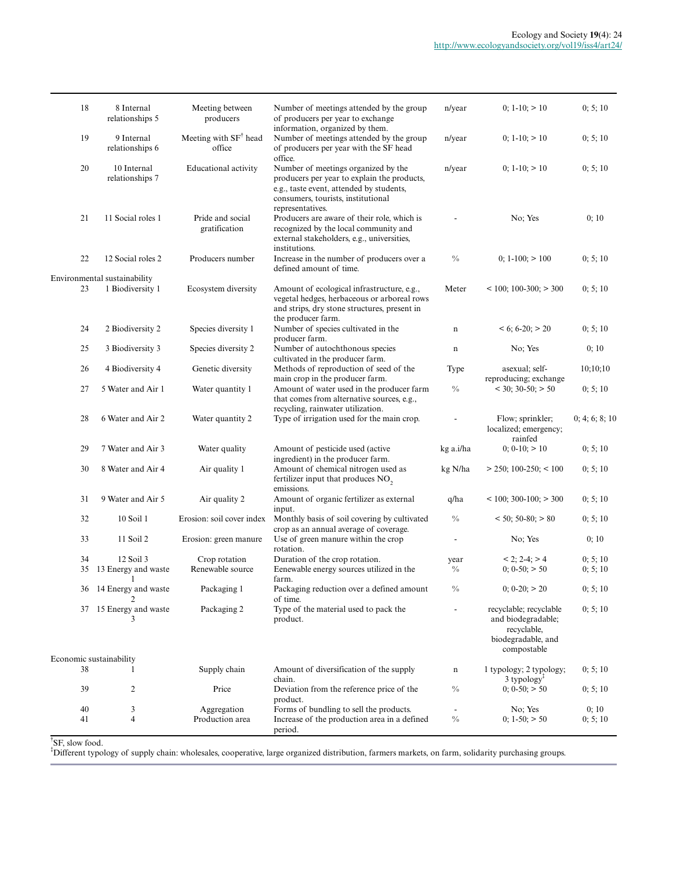| 18 | 8 Internal<br>relationships 5  | Meeting between<br>Number of meetings attended by the group<br>of producers per year to exchange<br>producers<br>information, organized by them. |                                                                                                                                                                                          | n/year         | 0; $1-10$ ; $> 10$                                                                               | 0; 5; 10       |
|----|--------------------------------|--------------------------------------------------------------------------------------------------------------------------------------------------|------------------------------------------------------------------------------------------------------------------------------------------------------------------------------------------|----------------|--------------------------------------------------------------------------------------------------|----------------|
| 19 | 9 Internal<br>relationships 6  | Meeting with $SF†$ head<br>office                                                                                                                | Number of meetings attended by the group<br>of producers per year with the SF head<br>office.                                                                                            | n/year         | $0; 1-10; > 10$                                                                                  | 0; 5; 10       |
| 20 | 10 Internal<br>relationships 7 | <b>Educational activity</b>                                                                                                                      | Number of meetings organized by the<br>producers per year to explain the products,<br>e.g., taste event, attended by students,<br>consumers, tourists, institutional<br>representatives. | n/year         | $0$ ; 1-10; $> 10$                                                                               | 0; 5; 10       |
| 21 | 11 Social roles 1              | Pride and social<br>gratification                                                                                                                | Producers are aware of their role, which is<br>recognized by the local community and<br>external stakeholders, e.g., universities,<br>institutions.                                      |                | No: Yes                                                                                          | 0; 10          |
| 22 | 12 Social roles 2              | Producers number                                                                                                                                 | Increase in the number of producers over a<br>defined amount of time.                                                                                                                    | $\frac{0}{0}$  | $0$ ; 1-100; $> 100$                                                                             | 0; 5; 10       |
|    | Environmental sustainability   |                                                                                                                                                  |                                                                                                                                                                                          |                |                                                                                                  |                |
| 23 | 1 Biodiversity 1               | Ecosystem diversity                                                                                                                              | Amount of ecological infrastructure, e.g.,<br>vegetal hedges, herbaceous or arboreal rows<br>and strips, dry stone structures, present in<br>the producer farm.                          | Meter          | $<$ 100; 100-300; $>$ 300                                                                        | 0; 5; 10       |
| 24 | 2 Biodiversity 2               | Species diversity 1                                                                                                                              | Number of species cultivated in the<br>producer farm.                                                                                                                                    | $\mathbf n$    | $< 6$ ; 6-20; $> 20$                                                                             | 0; 5; 10       |
| 25 | 3 Biodiversity 3               | Species diversity 2                                                                                                                              | Number of autochthonous species<br>cultivated in the producer farm.                                                                                                                      | $\mathbf n$    | No; Yes                                                                                          | 0; 10          |
| 26 | 4 Biodiversity 4               | Genetic diversity                                                                                                                                | Methods of reproduction of seed of the<br>main crop in the producer farm.                                                                                                                | Type           | asexual; self-<br>reproducing; exchange                                                          | 10;10;10       |
| 27 | 5 Water and Air 1              | Water quantity 1                                                                                                                                 | Amount of water used in the producer farm<br>that comes from alternative sources, e.g.,<br>recycling, rainwater utilization.                                                             | $\frac{0}{0}$  | $<$ 30; 30-50; $>$ 50                                                                            | 0; 5; 10       |
| 28 | 6 Water and Air 2              | Water quantity 2                                                                                                                                 | Type of irrigation used for the main crop.                                                                                                                                               |                | Flow; sprinkler;<br>localized; emergency;<br>rainfed                                             | 0; 4; 6; 8; 10 |
| 29 | 7 Water and Air 3              | Water quality                                                                                                                                    | Amount of pesticide used (active<br>ingredient) in the producer farm.                                                                                                                    | kg a.i/ha      | $0$ ; $0-10$ ; $> 10$                                                                            | 0; 5; 10       |
| 30 | 8 Water and Air 4              | Air quality 1                                                                                                                                    | Amount of chemical nitrogen used as<br>fertilizer input that produces NO <sub>2</sub><br>emissions.                                                                                      | kg N/ha        | $>$ 250; 100-250; < 100                                                                          | 0; 5; 10       |
| 31 | 9 Water and Air 5              | Air quality 2                                                                                                                                    | Amount of organic fertilizer as external<br>input.                                                                                                                                       | q/ha           | $<$ 100; 300-100; $>$ 300                                                                        | 0; 5; 10       |
| 32 | 10 Soil 1                      | Erosion: soil cover index                                                                                                                        | Monthly basis of soil covering by cultivated<br>crop as an annual average of coverage.                                                                                                   | $\frac{0}{0}$  | $<$ 50; 50-80; $>$ 80                                                                            | 0; 5; 10       |
| 33 | 11 Soil 2                      | Erosion: green manure                                                                                                                            | Use of green manure within the crop<br>rotation.                                                                                                                                         |                | No: Yes                                                                                          | 0;10           |
| 34 | $12$ Soil $3$                  | Crop rotation                                                                                                                                    | Duration of the crop rotation.                                                                                                                                                           | year           | $< 2$ ; 2-4; $> 4$                                                                               | 0; 5; 10       |
|    | 35 13 Energy and waste<br>1    | Renewable source                                                                                                                                 | Eenewable energy sources utilized in the<br>farm.                                                                                                                                        | $\frac{0}{0}$  | $0$ ; $0-50$ ; $> 50$                                                                            | 0; 5; 10       |
|    | 36 14 Energy and waste<br>2    | Packaging 1                                                                                                                                      | Packaging reduction over a defined amount<br>of time.                                                                                                                                    | $\frac{0}{0}$  | $0; 0-20; > 20$                                                                                  | 0; 5; 10       |
|    | 37 15 Energy and waste<br>3    | Packaging 2                                                                                                                                      | Type of the material used to pack the<br>product.                                                                                                                                        |                | recyclable; recyclable<br>and biodegradable;<br>recyclable,<br>biodegradable, and<br>compostable | 0: 5: 10       |
| 38 | Economic sustainability<br>1   | Supply chain                                                                                                                                     | Amount of diversification of the supply                                                                                                                                                  | $\mathbf n$    | 1 typology; 2 typology;                                                                          | 0; 5; 10       |
| 39 | 2                              | Price                                                                                                                                            | chain.<br>Deviation from the reference price of the<br>product.                                                                                                                          | $\frac{0}{0}$  | $3$ typology <sup><math>\ddagger</math></sup><br>$0$ ; $0-50$ ; $> 50$                           | 0; 5; 10       |
| 40 | 3                              | Aggregation                                                                                                                                      | Forms of bundling to sell the products.                                                                                                                                                  | $\overline{a}$ | No: Yes                                                                                          | 0; 10          |
| 41 | $\overline{4}$                 | Production area                                                                                                                                  | Increase of the production area in a defined<br>period.                                                                                                                                  | $\frac{0}{0}$  | 0; $1-50$ ; $> 50$                                                                               | 0; 5; 10       |
|    |                                |                                                                                                                                                  |                                                                                                                                                                                          |                |                                                                                                  |                |

† SF, slow food. ‡Different typology of supply chain: wholesales, cooperative, large organized distribution, farmers markets, on farm, solidarity purchasing groups.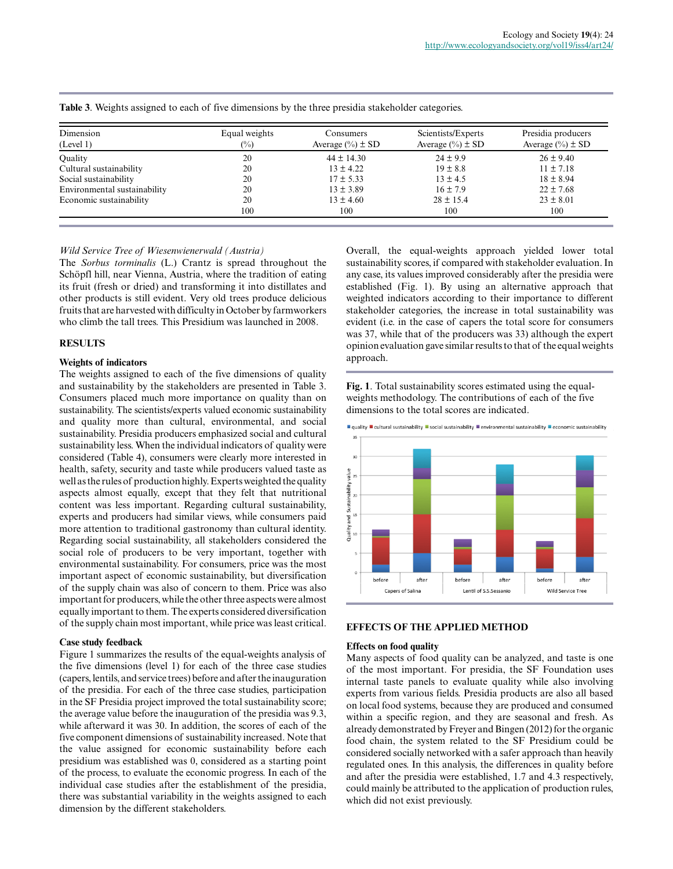| Dimension<br>(Level 1)       | Equal weights<br>$(\%)$ | Consumers<br>Average $(\% ) \pm SD$ | Scientists/Experts<br>Average $(\% ) \pm SD$ | Presidia producers<br>Average $(\%) \pm SD$ |
|------------------------------|-------------------------|-------------------------------------|----------------------------------------------|---------------------------------------------|
| Quality                      | 20                      | $44 \pm 14.30$                      | $24 \pm 9.9$                                 | $26 \pm 9.40$                               |
| Cultural sustainability      | 20                      | $13 \pm 4.22$                       | $19 \pm 8.8$                                 | $11 \pm 7.18$                               |
| Social sustainability        | 20                      | $17 \pm 5.33$                       | $13 \pm 4.5$                                 | $18 \pm 8.94$                               |
| Environmental sustainability | 20                      | $13 \pm 3.89$                       | $16 \pm 7.9$                                 | $22 \pm 7.68$                               |
| Economic sustainability      | 20                      | $13 \pm 4.60$                       | $28 \pm 15.4$                                | $23 \pm 8.01$                               |
|                              | 100                     | 100                                 | 100                                          | 100                                         |

**Table 3**. Weights assigned to each of five dimensions by the three presidia stakeholder categories.

# *Wild Service Tree of Wiesenwienerwald (Austria)*

The *Sorbus torminalis* (L.) Crantz is spread throughout the Schöpfl hill, near Vienna, Austria, where the tradition of eating its fruit (fresh or dried) and transforming it into distillates and other products is still evident. Very old trees produce delicious fruits that are harvested with difficulty in October by farmworkers who climb the tall trees. This Presidium was launched in 2008.

# **RESULTS**

#### **Weights of indicators**

The weights assigned to each of the five dimensions of quality and sustainability by the stakeholders are presented in Table 3. Consumers placed much more importance on quality than on sustainability. The scientists/experts valued economic sustainability and quality more than cultural, environmental, and social sustainability. Presidia producers emphasized social and cultural sustainability less. When the individual indicators of quality were considered (Table 4), consumers were clearly more interested in health, safety, security and taste while producers valued taste as well as the rules of production highly. Experts weighted the quality aspects almost equally, except that they felt that nutritional content was less important. Regarding cultural sustainability, experts and producers had similar views, while consumers paid more attention to traditional gastronomy than cultural identity. Regarding social sustainability, all stakeholders considered the social role of producers to be very important, together with environmental sustainability. For consumers, price was the most important aspect of economic sustainability, but diversification of the supply chain was also of concern to them. Price was also important for producers, while the other three aspects were almost equally important to them. The experts considered diversification of the supply chain most important, while price was least critical.

#### **Case study feedback**

Figure 1 summarizes the results of the equal-weights analysis of the five dimensions (level 1) for each of the three case studies (capers, lentils, and service trees) before and after the inauguration of the presidia. For each of the three case studies, participation in the SF Presidia project improved the total sustainability score; the average value before the inauguration of the presidia was 9.3, while afterward it was 30. In addition, the scores of each of the five component dimensions of sustainability increased. Note that the value assigned for economic sustainability before each presidium was established was 0, considered as a starting point of the process, to evaluate the economic progress. In each of the individual case studies after the establishment of the presidia, there was substantial variability in the weights assigned to each dimension by the different stakeholders.

Overall, the equal-weights approach yielded lower total sustainability scores, if compared with stakeholder evaluation. In any case, its values improved considerably after the presidia were established (Fig. 1). By using an alternative approach that weighted indicators according to their importance to different stakeholder categories, the increase in total sustainability was evident (i.e. in the case of capers the total score for consumers was 37, while that of the producers was 33) although the expert opinion evaluation gave similar results to that of the equal weights approach.

**Fig. 1**. Total sustainability scores estimated using the equalweights methodology. The contributions of each of the five dimensions to the total scores are indicated.



## **EFFECTS OF THE APPLIED METHOD**

### **Effects on food quality**

Many aspects of food quality can be analyzed, and taste is one of the most important. For presidia, the SF Foundation uses internal taste panels to evaluate quality while also involving experts from various fields. Presidia products are also all based on local food systems, because they are produced and consumed within a specific region, and they are seasonal and fresh. As already demonstrated by Freyer and Bingen (2012) for the organic food chain, the system related to the SF Presidium could be considered socially networked with a safer approach than heavily regulated ones. In this analysis, the differences in quality before and after the presidia were established, 1.7 and 4.3 respectively, could mainly be attributed to the application of production rules, which did not exist previously.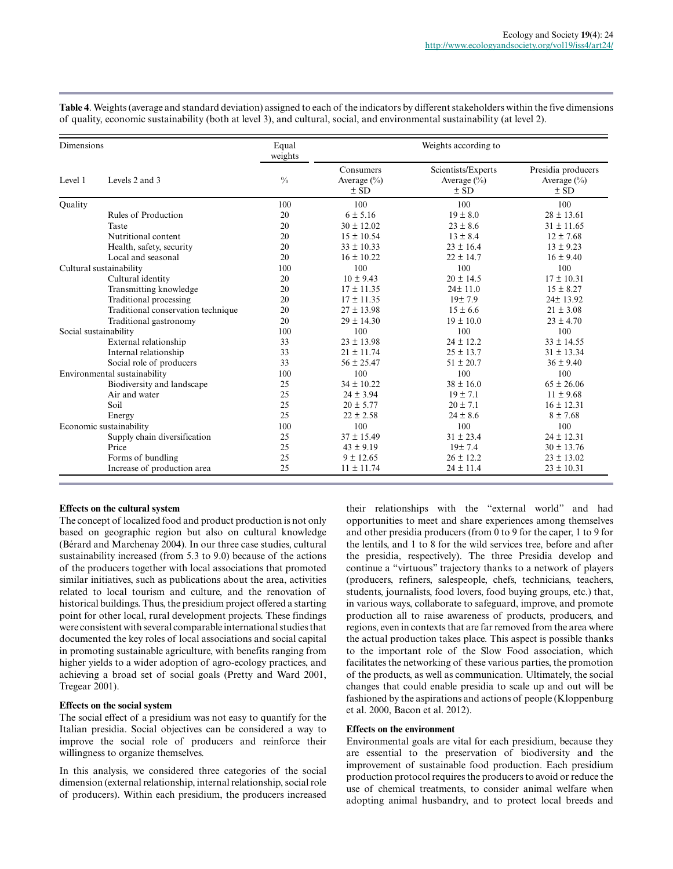**Table 4**. Weights (average and standard deviation) assigned to each of the indicators by different stakeholders within the five dimensions of quality, economic sustainability (both at level 3), and cultural, social, and environmental sustainability (at level 2).

| Dimensions              |                                    | Equal<br>weights | Weights according to                     |                                               |                                                   |  |
|-------------------------|------------------------------------|------------------|------------------------------------------|-----------------------------------------------|---------------------------------------------------|--|
| Level 1                 | Levels 2 and 3                     | $\frac{0}{0}$    | Consumers<br>Average $(\% )$<br>$\pm$ SD | Scientists/Experts<br>Average $(\% )$<br>± SD | Presidia producers<br>Average $(\% )$<br>$\pm$ SD |  |
| Ouality                 |                                    | 100              | 100                                      | 100                                           | 100                                               |  |
|                         | Rules of Production                | 20               | $6 \pm 5.16$                             | $19 \pm 8.0$                                  | $28 \pm 13.61$                                    |  |
|                         | <b>Taste</b>                       | 20               | $30 \pm 12.02$                           | $23 \pm 8.6$                                  | $31 \pm 11.65$                                    |  |
|                         | Nutritional content                | 20               | $15 \pm 10.54$                           | $13 \pm 8.4$                                  | $12 \pm 7.68$                                     |  |
|                         | Health, safety, security           | 20               | $33 \pm 10.33$                           | $23 \pm 16.4$                                 | $13 \pm 9.23$                                     |  |
|                         | Local and seasonal                 | 20               | $16 \pm 10.22$                           | $22 \pm 14.7$                                 | $16 \pm 9.40$                                     |  |
|                         | Cultural sustainability            | 100              | 100                                      | 100                                           | 100                                               |  |
|                         | Cultural identity                  | 20               | $10 \pm 9.43$                            | $20 \pm 14.5$                                 | $17 \pm 10.31$                                    |  |
|                         | Transmitting knowledge             | 20               | $17 \pm 11.35$                           | $24 \pm 11.0$                                 | $15 \pm 8.27$                                     |  |
|                         | Traditional processing             | 20               | $17 \pm 11.35$                           | 19±7.9                                        | 24±13.92                                          |  |
|                         | Traditional conservation technique | 20               | $27 \pm 13.98$                           | $15 \pm 6.6$                                  | $21 \pm 3.08$                                     |  |
|                         | Traditional gastronomy             | 20               | $29 \pm 14.30$                           | $19 \pm 10.0$                                 | $23 \pm 4.70$                                     |  |
|                         | Social sustainability              | 100              | 100                                      | 100                                           | 100                                               |  |
|                         | External relationship              | 33               | $23 \pm 13.98$                           | $24 \pm 12.2$                                 | $33 \pm 14.55$                                    |  |
|                         | Internal relationship              | 33               | $21 \pm 11.74$                           | $25 \pm 13.7$                                 | $31 \pm 13.34$                                    |  |
|                         | Social role of producers           | 33               | $56 \pm 25.47$                           | $51 \pm 20.7$                                 | $36 \pm 9.40$                                     |  |
|                         | Environmental sustainability       | 100              | 100                                      | 100                                           | 100                                               |  |
|                         | Biodiversity and landscape         | 25               | $34 \pm 10.22$                           | $38 \pm 16.0$                                 | $65 \pm 26.06$                                    |  |
|                         | Air and water                      | 25               | $24 \pm 3.94$                            | $19 \pm 7.1$                                  | $11 \pm 9.68$                                     |  |
|                         | Soil                               | 25               | $20 \pm 5.77$                            | $20 \pm 7.1$                                  | $16 \pm 12.31$                                    |  |
|                         | Energy                             | 25               | $22 \pm 2.58$                            | $24 \pm 8.6$                                  | $8 \pm 7.68$                                      |  |
| Economic sustainability |                                    | 100              | 100                                      | 100                                           | 100                                               |  |
|                         | Supply chain diversification       | 25               | $37 \pm 15.49$                           | $31 \pm 23.4$                                 | $24 \pm 12.31$                                    |  |
|                         | Price                              | 25               | $43 \pm 9.19$                            | 19±7.4                                        | $30 \pm 13.76$                                    |  |
|                         | Forms of bundling                  | 25               | $9 \pm 12.65$                            | $26 \pm 12.2$                                 | $23 \pm 13.02$                                    |  |
|                         | Increase of production area        | 25               | $11 \pm 11.74$                           | $24 \pm 11.4$                                 | $23 \pm 10.31$                                    |  |

# **Effects on the cultural system**

The concept of localized food and product production is not only based on geographic region but also on cultural knowledge (Bérard and Marchenay 2004). In our three case studies, cultural sustainability increased (from 5.3 to 9.0) because of the actions of the producers together with local associations that promoted similar initiatives, such as publications about the area, activities related to local tourism and culture, and the renovation of historical buildings. Thus, the presidium project offered a starting point for other local, rural development projects. These findings were consistent with several comparable international studies that documented the key roles of local associations and social capital in promoting sustainable agriculture, with benefits ranging from higher yields to a wider adoption of agro-ecology practices, and achieving a broad set of social goals (Pretty and Ward 2001, Tregear 2001).

## **Effects on the social system**

The social effect of a presidium was not easy to quantify for the Italian presidia. Social objectives can be considered a way to improve the social role of producers and reinforce their willingness to organize themselves.

In this analysis, we considered three categories of the social dimension (external relationship, internal relationship, social role of producers). Within each presidium, the producers increased

their relationships with the "external world" and had opportunities to meet and share experiences among themselves and other presidia producers (from 0 to 9 for the caper, 1 to 9 for the lentils, and 1 to 8 for the wild services tree, before and after the presidia, respectively). The three Presidia develop and continue a "virtuous" trajectory thanks to a network of players (producers, refiners, salespeople, chefs, technicians, teachers, students, journalists, food lovers, food buying groups, etc.) that, in various ways, collaborate to safeguard, improve, and promote production all to raise awareness of products, producers, and regions, even in contexts that are far removed from the area where the actual production takes place. This aspect is possible thanks to the important role of the Slow Food association, which facilitates the networking of these various parties, the promotion of the products, as well as communication. Ultimately, the social changes that could enable presidia to scale up and out will be fashioned by the aspirations and actions of people (Kloppenburg et al. 2000, Bacon et al. 2012).

#### **Effects on the environment**

Environmental goals are vital for each presidium, because they are essential to the preservation of biodiversity and the improvement of sustainable food production. Each presidium production protocol requires the producers to avoid or reduce the use of chemical treatments, to consider animal welfare when adopting animal husbandry, and to protect local breeds and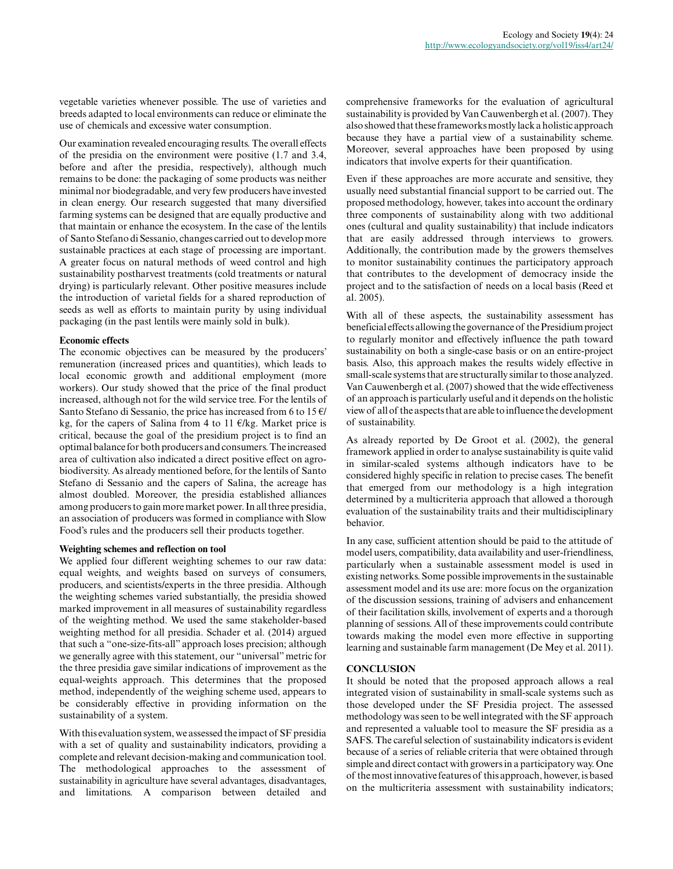vegetable varieties whenever possible. The use of varieties and breeds adapted to local environments can reduce or eliminate the use of chemicals and excessive water consumption.

Our examination revealed encouraging results. The overall effects of the presidia on the environment were positive (1.7 and 3.4, before and after the presidia, respectively), although much remains to be done: the packaging of some products was neither minimal nor biodegradable, and very few producers have invested in clean energy. Our research suggested that many diversified farming systems can be designed that are equally productive and that maintain or enhance the ecosystem. In the case of the lentils of Santo Stefano di Sessanio, changes carried out to develop more sustainable practices at each stage of processing are important. A greater focus on natural methods of weed control and high sustainability postharvest treatments (cold treatments or natural drying) is particularly relevant. Other positive measures include the introduction of varietal fields for a shared reproduction of seeds as well as efforts to maintain purity by using individual packaging (in the past lentils were mainly sold in bulk).

## **Economic effects**

The economic objectives can be measured by the producers' remuneration (increased prices and quantities), which leads to local economic growth and additional employment (more workers). Our study showed that the price of the final product increased, although not for the wild service tree. For the lentils of Santo Stefano di Sessanio, the price has increased from 6 to  $15 \frac{\epsilon}{4}$ kg, for the capers of Salina from 4 to 11 €/kg. Market price is critical, because the goal of the presidium project is to find an optimal balance for both producers and consumers. The increased area of cultivation also indicated a direct positive effect on agrobiodiversity. As already mentioned before, for the lentils of Santo Stefano di Sessanio and the capers of Salina, the acreage has almost doubled. Moreover, the presidia established alliances among producers to gain more market power. In all three presidia, an association of producers was formed in compliance with Slow Food's rules and the producers sell their products together.

## **Weighting schemes and reflection on tool**

We applied four different weighting schemes to our raw data: equal weights, and weights based on surveys of consumers, producers, and scientists/experts in the three presidia. Although the weighting schemes varied substantially, the presidia showed marked improvement in all measures of sustainability regardless of the weighting method. We used the same stakeholder-based weighting method for all presidia. Schader et al. (2014) argued that such a "one-size-fits-all" approach loses precision; although we generally agree with this statement, our "universal" metric for the three presidia gave similar indications of improvement as the equal-weights approach. This determines that the proposed method, independently of the weighing scheme used, appears to be considerably effective in providing information on the sustainability of a system.

With this evaluation system, we assessed the impact of SF presidia with a set of quality and sustainability indicators, providing a complete and relevant decision-making and communication tool. The methodological approaches to the assessment of sustainability in agriculture have several advantages, disadvantages, and limitations. A comparison between detailed and comprehensive frameworks for the evaluation of agricultural sustainability is provided by Van Cauwenbergh et al. (2007). They also showed that these frameworks mostly lack a holistic approach because they have a partial view of a sustainability scheme. Moreover, several approaches have been proposed by using indicators that involve experts for their quantification.

Even if these approaches are more accurate and sensitive, they usually need substantial financial support to be carried out. The proposed methodology, however, takes into account the ordinary three components of sustainability along with two additional ones (cultural and quality sustainability) that include indicators that are easily addressed through interviews to growers. Additionally, the contribution made by the growers themselves to monitor sustainability continues the participatory approach that contributes to the development of democracy inside the project and to the satisfaction of needs on a local basis (Reed et al. 2005).

With all of these aspects, the sustainability assessment has beneficial effects allowing the governance of the Presidium project to regularly monitor and effectively influence the path toward sustainability on both a single-case basis or on an entire-project basis. Also, this approach makes the results widely effective in small-scale systems that are structurally similar to those analyzed. Van Cauwenbergh et al. (2007) showed that the wide effectiveness of an approach is particularly useful and it depends on the holistic view of all of the aspects that are able to influence the development of sustainability.

As already reported by De Groot et al. (2002), the general framework applied in order to analyse sustainability is quite valid in similar-scaled systems although indicators have to be considered highly specific in relation to precise cases. The benefit that emerged from our methodology is a high integration determined by a multicriteria approach that allowed a thorough evaluation of the sustainability traits and their multidisciplinary behavior.

In any case, sufficient attention should be paid to the attitude of model users, compatibility, data availability and user-friendliness, particularly when a sustainable assessment model is used in existing networks. Some possible improvements in the sustainable assessment model and its use are: more focus on the organization of the discussion sessions, training of advisers and enhancement of their facilitation skills, involvement of experts and a thorough planning of sessions. All of these improvements could contribute towards making the model even more effective in supporting learning and sustainable farm management (De Mey et al. 2011).

# **CONCLUSION**

It should be noted that the proposed approach allows a real integrated vision of sustainability in small-scale systems such as those developed under the SF Presidia project. The assessed methodology was seen to be well integrated with the SF approach and represented a valuable tool to measure the SF presidia as a SAFS. The careful selection of sustainability indicators is evident because of a series of reliable criteria that were obtained through simple and direct contact with growers in a participatory way. One of the most innovative features of this approach, however, is based on the multicriteria assessment with sustainability indicators;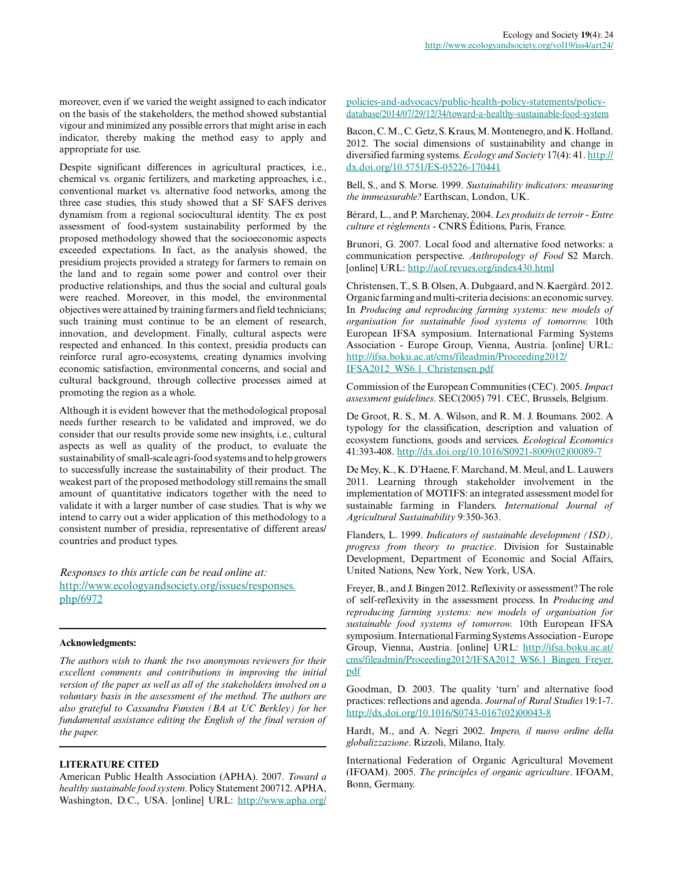moreover, even if we varied the weight assigned to each indicator on the basis of the stakeholders, the method showed substantial vigour and minimized any possible errors that might arise in each indicator, thereby making the method easy to apply and appropriate for use.

Despite significant differences in agricultural practices, i.e., chemical vs. organic fertilizers, and marketing approaches, i.e., conventional market vs. alternative food networks, among the three case studies, this study showed that a SF SAFS derives dynamism from a regional sociocultural identity. The ex post assessment of food-system sustainability performed by the proposed methodology showed that the socioeconomic aspects exceeded expectations. In fact, as the analysis showed, the presidium projects provided a strategy for farmers to remain on the land and to regain some power and control over their productive relationships, and thus the social and cultural goals were reached. Moreover, in this model, the environmental objectives were attained by training farmers and field technicians; such training must continue to be an element of research, innovation, and development. Finally, cultural aspects were respected and enhanced. In this context, presidia products can reinforce rural agro-ecosystems, creating dynamics involving economic satisfaction, environmental concerns, and social and cultural background, through collective processes aimed at promoting the region as a whole.

Although it is evident however that the methodological proposal needs further research to be validated and improved, we do consider that our results provide some new insights, i.e., cultural aspects as well as quality of the product, to evaluate the sustainability of small-scale agri-food systems and to help growers to successfully increase the sustainability of their product. The weakest part of the proposed methodology still remains the small amount of quantitative indicators together with the need to validate it with a larger number of case studies. That is why we intend to carry out a wider application of this methodology to a consistent number of presidia, representative of different areas/ countries and product types.

*Responses to this article can be read online at:* [http://www.ecologyandsociety.org/issues/responses.](http://www.ecologyandsociety.org/issues/responses.php/6972) [php/6972](http://www.ecologyandsociety.org/issues/responses.php/6972)

## **Acknowledgments:**

*The authors wish to thank the two anonymous reviewers for their excellent comments and contributions in improving the initial version of the paper as well as all of the stakeholders involved on a voluntary basis in the assessment of the method. The authors are also grateful to Cassandra Funsten (BA at UC Berkley) for her fundamental assistance editing the English of the final version of the paper.*

# **LITERATURE CITED**

American Public Health Association (APHA). 2007. *Toward a healthy sustainable food system*. Policy Statement 200712. APHA, Washington, D.C., USA. [online] URL: [http://www.apha.org/](http://www.apha.org/policies-and-advocacy/public-health-policy-statements/policy-database/2014/07/29/12/34/toward-a-healthy-sustainable-food-system)

[policies-and-advocacy/public-health-policy-statements/policy](http://www.apha.org/policies-and-advocacy/public-health-policy-statements/policy-database/2014/07/29/12/34/toward-a-healthy-sustainable-food-system)[database/2014/07/29/12/34/toward-a-healthy-sustainable-food-system](http://www.apha.org/policies-and-advocacy/public-health-policy-statements/policy-database/2014/07/29/12/34/toward-a-healthy-sustainable-food-system) 

Bacon, C. M., C. Getz, S. Kraus, M. Montenegro, and K. Holland. 2012. The social dimensions of sustainability and change in diversified farming systems. *Ecology and Society* 17(4): 41. [http://](http://dx.doi.org/10.5751%2FES-05226-170441) [dx.doi.org/10.5751/ES-05226-170441](http://dx.doi.org/10.5751%2FES-05226-170441)

Bell, S., and S. Morse. 1999. *Sustainability indicators: measuring the immeasurable?* Earthscan, London, UK.

Bérard, L., and P. Marchenay, 2004. *Les produits de terroir - Entre culture et règlements* - CNRS Éditions, Paris, France.

Brunori, G. 2007. Local food and alternative food networks: a communication perspective. *Anthropology of Food* S2 March. [online] URL: <http://aof.revues.org/index430.html>

Christensen, T., S. B. Olsen, A. Dubgaard, and N. Kaergård. 2012. Organic farming and multi-criteria decisions: an economic survey. In *Producing and reproducing farming systems: new models of organisation for sustainable food systems of tomorrow.* 10th European IFSA symposium. International Farming Systems Association - Europe Group, Vienna, Austria. [online] URL: [http://ifsa.boku.ac.at/cms/fileadmin/Proceeding2012/](http://ifsa.boku.ac.at/cms/fileadmin/Proceeding2012/IFSA2012_WS6.1_Christensen.pdf) [IFSA2012\\_WS6.1\\_Christensen.pdf](http://ifsa.boku.ac.at/cms/fileadmin/Proceeding2012/IFSA2012_WS6.1_Christensen.pdf)

Commission of the European Communities (CEC). 2005. *Impact assessment guidelines*. SEC(2005) 791. CEC, Brussels, Belgium.

De Groot, R. S., M. A. Wilson, and R. M. J. Boumans. 2002. A typology for the classification, description and valuation of ecosystem functions, goods and services. *Ecological Economics* 41:393-408. [http://dx.doi.org/10.1016/S0921-8009\(02\)00089-7](http://dx.doi.org/10.1016%2FS0921-8009%2802%2900089-7)

De Mey, K., K. D'Haene, F. Marchand, M. Meul, and L. Lauwers 2011. Learning through stakeholder involvement in the implementation of MOTIFS: an integrated assessment model for sustainable farming in Flanders. *International Journal of Agricultural Sustainability* 9:350-363.

Flanders, L. 1999. *Indicators of sustainable development (ISD), progress from theory to practice*. Division for Sustainable Development, Department of Economic and Social Affairs, United Nations, New York, New York, USA.

Freyer, B., and J. Bingen 2012. Reflexivity or assessment? The role of self-reflexivity in the assessment process. In *Producing and reproducing farming systems: new models of organisation for sustainable food systems of tomorrow.* 10th European IFSA symposium. International Farming Systems Association - Europe Group, Vienna, Austria. [online] URL: [http://ifsa.boku.ac.at/](http://ifsa.boku.ac.at/cms/fileadmin/Proceeding2012/IFSA2012_WS6.1_Bingen_Freyer.pdf) [cms/fileadmin/Proceeding2012/IFSA2012\\_WS6.1\\_Bingen\\_Freyer.](http://ifsa.boku.ac.at/cms/fileadmin/Proceeding2012/IFSA2012_WS6.1_Bingen_Freyer.pdf) [pdf](http://ifsa.boku.ac.at/cms/fileadmin/Proceeding2012/IFSA2012_WS6.1_Bingen_Freyer.pdf)

Goodman, D. 2003. The quality 'turn' and alternative food practices: reflections and agenda. *Journal of Rural Studies* 19:1-7. [http://dx.doi.org/10.1016/S0743-0167\(02\)00043-8](http://dx.doi.org/10.1016%2FS0743-0167%2802%2900043-8)

Hardt, M., and A. Negri 2002. *Impero, il nuovo ordine della globalizzazione*. Rizzoli, Milano, Italy.

International Federation of Organic Agricultural Movement (IFOAM). 2005. *The principles of organic agriculture*. IFOAM, Bonn, Germany.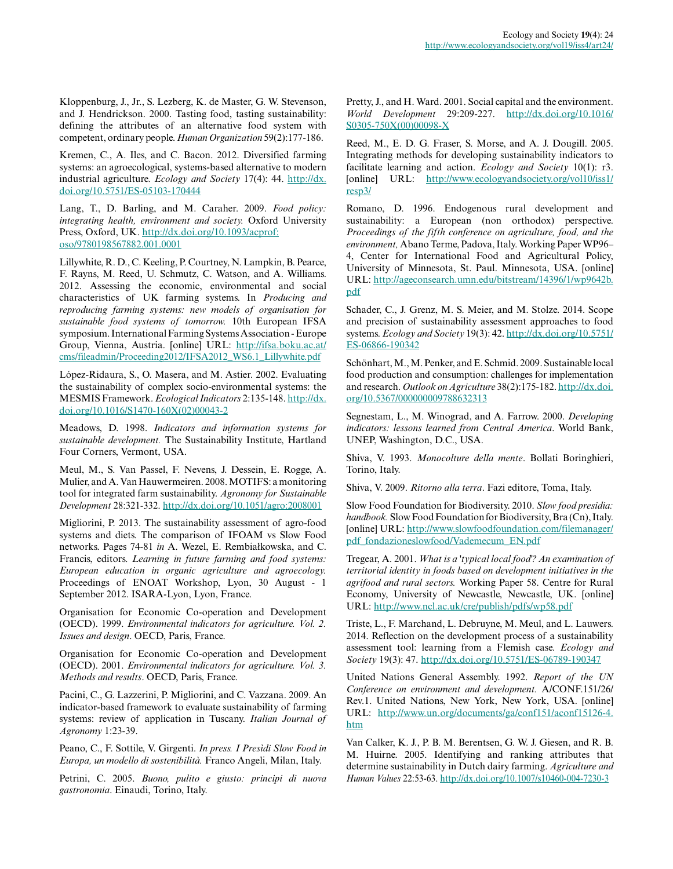Kloppenburg, J., Jr., S. Lezberg, K. de Master, G. W. Stevenson, and J. Hendrickson. 2000. Tasting food, tasting sustainability: defining the attributes of an alternative food system with competent, ordinary people. *Human Organization* 59(2):177-186.

Kremen, C., A. Iles, and C. Bacon. 2012. Diversified farming systems: an agroecological, systems-based alternative to modern industrial agriculture. *Ecology and Society* 17(4): 44. [http://dx.](http://dx.doi.org/10.5751%2FES-05103-170444) [doi.org/10.5751/ES-05103-170444](http://dx.doi.org/10.5751%2FES-05103-170444)

Lang, T., D. Barling, and M. Caraher. 2009. *Food policy: integrating health, environment and society.* Oxford University Press, Oxford, UK. [http://dx.doi.org/10.1093/acprof:](http://dx.doi.org/10.1093%2Facprof%3Aoso%2F9780198567882.001.0001) [oso/9780198567882.001.0001](http://dx.doi.org/10.1093%2Facprof%3Aoso%2F9780198567882.001.0001) 

Lillywhite, R. D., C. Keeling, P. Courtney, N. Lampkin, B. Pearce, F. Rayns, M. Reed, U. Schmutz, C. Watson, and A. Williams. 2012. Assessing the economic, environmental and social characteristics of UK farming systems. In *Producing and reproducing farming systems: new models of organisation for sustainable food systems of tomorrow.* 10th European IFSA symposium. International Farming Systems Association - Europe Group, Vienna, Austria. [online] URL: [http://ifsa.boku.ac.at/](http://ifsa.boku.ac.at/cms/fileadmin/Proceeding2012/IFSA2012_WS6.1_Lillywhite.pdf) [cms/fileadmin/Proceeding2012/IFSA2012\\_WS6.1\\_Lillywhite.pdf](http://ifsa.boku.ac.at/cms/fileadmin/Proceeding2012/IFSA2012_WS6.1_Lillywhite.pdf)

López-Ridaura, S., O. Masera, and M. Astier. 2002. Evaluating the sustainability of complex socio-environmental systems: the MESMIS Framework. *Ecological Indicators* 2:135-148. [http://dx.](http://dx.doi.org/10.1016%2FS1470-160X%2802%2900043-2) [doi.org/10.1016/S1470-160X\(02\)00043-2](http://dx.doi.org/10.1016%2FS1470-160X%2802%2900043-2)

Meadows, D. 1998. *Indicators and information systems for sustainable development.* The Sustainability Institute, Hartland Four Corners, Vermont, USA.

Meul, M., S. Van Passel, F. Nevens, J. Dessein, E. Rogge, A. Mulier, and A. Van Hauwermeiren. 2008. MOTIFS: a monitoring tool for integrated farm sustainability. *Agronomy for Sustainable Development* 28:321-332. [http://dx.doi.org/10.1051/agro:2008001](http://dx.doi.org/10.1051%2Fagro%3A2008001) 

Migliorini, P. 2013. The sustainability assessment of agro-food systems and diets. The comparison of IFOAM vs Slow Food networks. Pages 74-81 *in* A. Wezel, E. Rembiałkowska, and C. Francis, editors. *Learning in future farming and food systems: European education in organic agriculture and agroecology.* Proceedings of ENOAT Workshop, Lyon, 30 August - 1 September 2012. ISARA-Lyon, Lyon, France.

Organisation for Economic Co-operation and Development (OECD). 1999. *Environmental indicators for agriculture. Vol. 2. Issues and design*. OECD, Paris, France.

Organisation for Economic Co-operation and Development (OECD). 2001. *Environmental indicators for agriculture. Vol. 3. Methods and results*. OECD, Paris, France.

Pacini, C., G. Lazzerini, P. Migliorini, and C. Vazzana. 2009. An indicator-based framework to evaluate sustainability of farming systems: review of application in Tuscany. *Italian Journal of Agronomy* 1:23-39.

Peano, C., F. Sottile, V. Girgenti. *In press. I Presìdi Slow Food in Europa, un modello di sostenibilità.* Franco Angeli, Milan, Italy.

Petrini, C. 2005. *Buono, pulito e giusto: principi di nuova gastronomia*. Einaudi, Torino, Italy.

Pretty, J., and H. Ward. 2001. Social capital and the environment. *World Development* 29:209-227. [http://dx.doi.org/10.1016/](http://dx.doi.org/10.1016%2FS0305-750X%2800%2900098-X) [S0305-750X\(00\)00098-X](http://dx.doi.org/10.1016%2FS0305-750X%2800%2900098-X) 

Reed, M., E. D. G. Fraser, S. Morse, and A. J. Dougill. 2005. Integrating methods for developing sustainability indicators to facilitate learning and action. *Ecology and Society* 10(1): r3. [online] URL: [http://www.ecologyandsociety.org/vol10/iss1/](http://www.ecologyandsociety.org/vol10/iss1/resp3/) [resp3/](http://www.ecologyandsociety.org/vol10/iss1/resp3/) 

Romano, D. 1996. Endogenous rural development and sustainability: a European (non orthodox) perspective. *Proceedings of the fifth conference on agriculture, food, and the environment,* Abano Terme, Padova, Italy. Working Paper WP96– 4, Center for International Food and Agricultural Policy, University of Minnesota, St. Paul. Minnesota, USA. [online] URL: [http://ageconsearch.umn.edu/bitstream/14396/1/wp9642b.](http://ageconsearch.umn.edu/bitstream/14396/1/wp9642b.pdf) [pdf](http://ageconsearch.umn.edu/bitstream/14396/1/wp9642b.pdf)

Schader, C., J. Grenz, M. S. Meier, and M. Stolze. 2014. Scope and precision of sustainability assessment approaches to food systems. *Ecology and Society* 19(3): 42. [http://dx.doi.org/10.5751/](http://dx.doi.org/10.5751/ES-06866-190342) [ES-06866-190342](http://dx.doi.org/10.5751/ES-06866-190342)

Schönhart, M., M. Penker, and E. Schmid. 2009. Sustainable local food production and consumption: challenges for implementation and research. *Outlook on Agriculture* 38(2):175-182. [http://dx.doi.](http://dx.doi.org/10.5367%2F000000009788632313) [org/10.5367/000000009788632313](http://dx.doi.org/10.5367%2F000000009788632313)

Segnestam, L., M. Winograd, and A. Farrow. 2000. *Developing indicators: lessons learned from Central America*. World Bank, UNEP, Washington, D.C., USA.

Shiva, V. 1993. *Monocolture della mente*. Bollati Boringhieri, Torino, Italy.

Shiva, V. 2009. *Ritorno alla terra*. Fazi editore, Toma, Italy.

Slow Food Foundation for Biodiversity. 2010. *Slow food presidia: handbook.* Slow Food Foundation for Biodiversity, Bra (Cn), Italy. [online] URL: [http://www.slowfoodfoundation.com/filemanager/](http://www.slowfoodfoundation.com/filemanager/pdf_fondazioneslowfood/Vademecum_EN.pdf) [pdf\\_fondazioneslowfood/Vademecum\\_EN.pdf](http://www.slowfoodfoundation.com/filemanager/pdf_fondazioneslowfood/Vademecum_EN.pdf)

Tregear, A. 2001. *What is a 'typical local food'? An examination of territorial identity in foods based on development initiatives in the agrifood and rural sectors.* Working Paper 58. Centre for Rural Economy, University of Newcastle, Newcastle, UK. [online] URL:<http://www.ncl.ac.uk/cre/publish/pdfs/wp58.pdf>

Triste, L., F. Marchand, L. Debruyne, M. Meul, and L. Lauwers. 2014. Reflection on the development process of a sustainability assessment tool: learning from a Flemish case. *Ecology and Society* 19(3): 47. <http://dx.doi.org/10.5751/ES-06789-190347>

United Nations General Assembly. 1992. *Report of the UN Conference on environment and development.* A/CONF.151/26/ Rev.1. United Nations, New York, New York, USA. [online] URL: [http://www.un.org/documents/ga/conf151/aconf15126-4.](http://www.un.org/documents/ga/conf151/aconf15126-4.htm) [htm](http://www.un.org/documents/ga/conf151/aconf15126-4.htm)

Van Calker, K. J., P. B. M. Berentsen, G. W. J. Giesen, and R. B. M. Huirne. 2005. Identifying and ranking attributes that determine sustainability in Dutch dairy farming. *Agriculture and Human Values* 22:53-63. [http://dx.doi.org/10.1007/s10460-004-7230-3](http://dx.doi.org/10.1007%2Fs10460-004-7230-3)